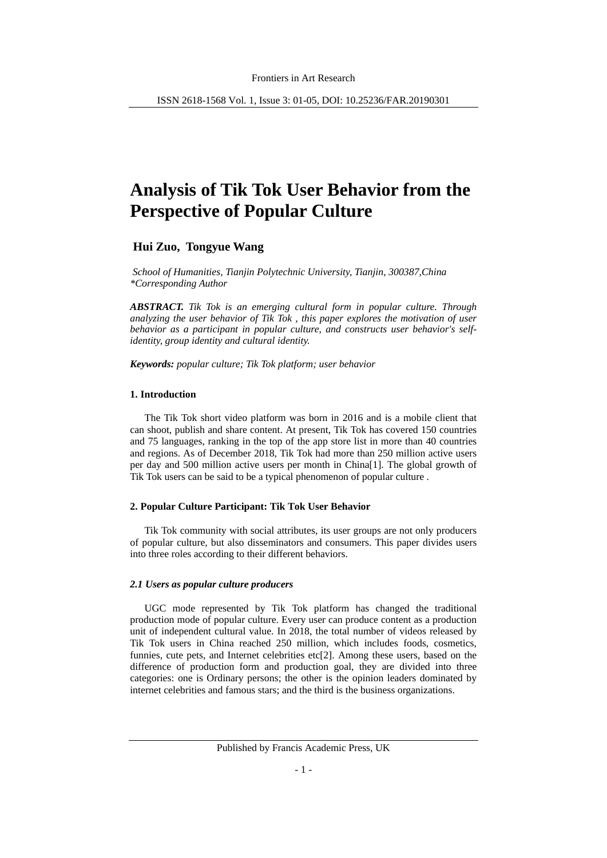# **Analysis of Tik Tok User Behavior from the Perspective of Popular Culture**

# **Hui Zuo, Tongyue Wang**

*School of Humanities, Tianjin Polytechnic University, Tianjin, 300387,China \*Corresponding Author*

*ABSTRACT. Tik Tok is an emerging cultural form in popular culture. Through analyzing the user behavior of Tik Tok , this paper explores the motivation of user behavior as a participant in popular culture, and constructs user behavior's selfidentity, group identity and cultural identity.*

*Keywords: popular culture; Tik Tok platform; user behavior*

### **1. Introduction**

The Tik Tok short video platform was born in 2016 and is a mobile client that can shoot, publish and share content. At present, Tik Tok has covered 150 countries and 75 languages, ranking in the top of the app store list in more than 40 countries and regions. As of December 2018, Tik Tok had more than 250 million active users per day and 500 million active users per month in China[1]. The global growth of Tik Tok users can be said to be a typical phenomenon of popular culture .

# **2. Popular Culture Participant: Tik Tok User Behavior**

Tik Tok community with social attributes, its user groups are not only producers of popular culture, but also disseminators and consumers. This paper divides users into three roles according to their different behaviors.

# *2.1 Users as popular culture producers*

UGC mode represented by Tik Tok platform has changed the traditional production mode of popular culture. Every user can produce content as a production unit of independent cultural value. In 2018, the total number of videos released by Tik Tok users in China reached 250 million, which includes foods, cosmetics, funnies, cute pets, and Internet celebrities etc[2]. Among these users, based on the difference of production form and production goal, they are divided into three categories: one is Ordinary persons; the other is the opinion leaders dominated by internet celebrities and famous stars; and the third is the business organizations.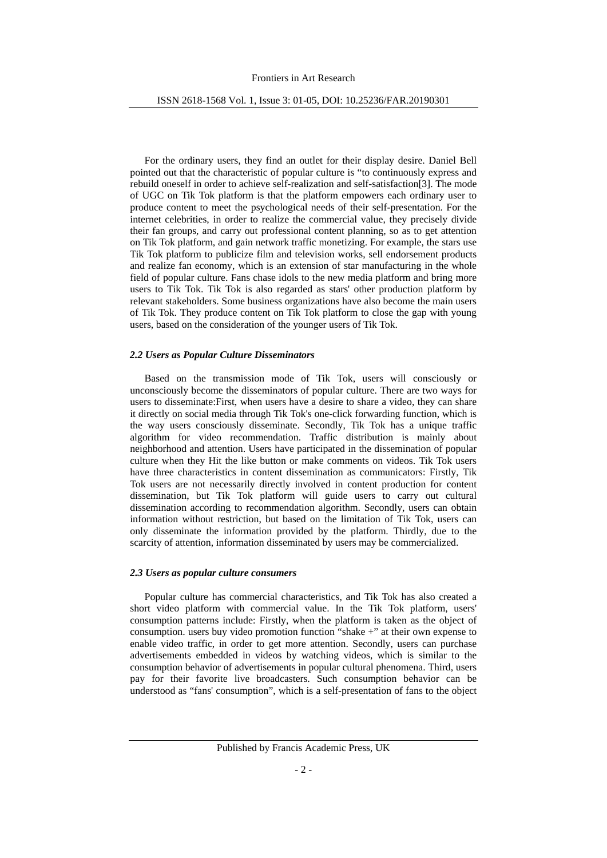For the ordinary users, they find an outlet for their display desire. Daniel Bell pointed out that the characteristic of popular culture is "to continuously express and rebuild oneself in order to achieve self-realization and self-satisfaction[3]. The mode of UGC on Tik Tok platform is that the platform empowers each ordinary user to produce content to meet the psychological needs of their self-presentation. For the internet celebrities, in order to realize the commercial value, they precisely divide their fan groups, and carry out professional content planning, so as to get attention on Tik Tok platform, and gain network traffic monetizing. For example, the stars use Tik Tok platform to publicize film and television works, sell endorsement products and realize fan economy, which is an extension of star manufacturing in the whole field of popular culture. Fans chase idols to the new media platform and bring more users to Tik Tok. Tik Tok is also regarded as stars' other production platform by relevant stakeholders. Some business organizations have also become the main users of Tik Tok. They produce content on Tik Tok platform to close the gap with young users, based on the consideration of the younger users of Tik Tok.

## *2.2 Users as Popular Culture Disseminators*

Based on the transmission mode of Tik Tok, users will consciously or unconsciously become the disseminators of popular culture. There are two ways for users to disseminate:First, when users have a desire to share a video, they can share it directly on social media through Tik Tok's one-click forwarding function, which is the way users consciously disseminate. Secondly, Tik Tok has a unique traffic algorithm for video recommendation. Traffic distribution is mainly about neighborhood and attention. Users have participated in the dissemination of popular culture when they Hit the like button or make comments on videos. Tik Tok users have three characteristics in content dissemination as communicators: Firstly, Tik Tok users are not necessarily directly involved in content production for content dissemination, but Tik Tok platform will guide users to carry out cultural dissemination according to recommendation algorithm. Secondly, users can obtain information without restriction, but based on the limitation of Tik Tok, users can only disseminate the information provided by the platform. Thirdly, due to the scarcity of attention, information disseminated by users may be commercialized.

# *2.3 Users as popular culture consumers*

Popular culture has commercial characteristics, and Tik Tok has also created a short video platform with commercial value. In the Tik Tok platform, users' consumption patterns include: Firstly, when the platform is taken as the object of consumption. users buy video promotion function "shake +" at their own expense to enable video traffic, in order to get more attention. Secondly, users can purchase advertisements embedded in videos by watching videos, which is similar to the consumption behavior of advertisements in popular cultural phenomena. Third, users pay for their favorite live broadcasters. Such consumption behavior can be understood as "fans' consumption", which is a self-presentation of fans to the object

Published by Francis Academic Press, UK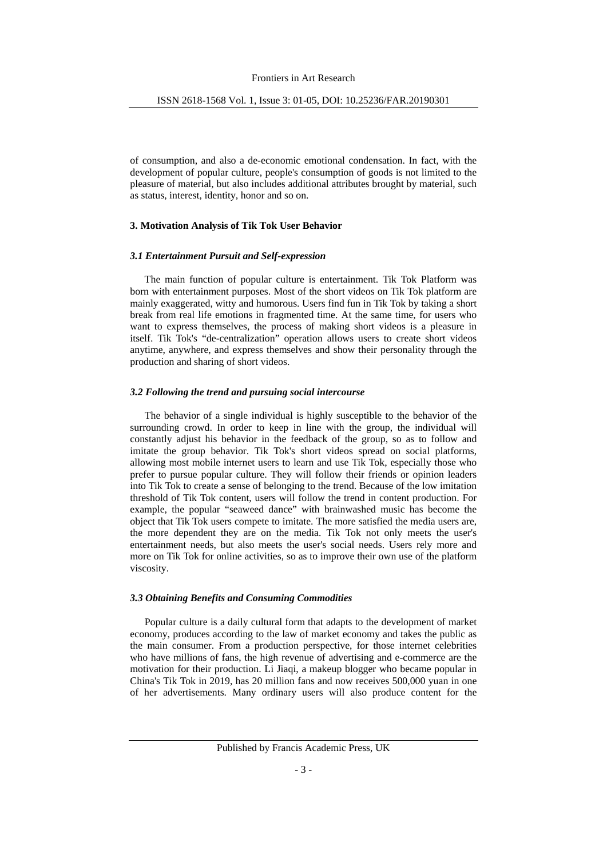of consumption, and also a de-economic emotional condensation. In fact, with the development of popular culture, people's consumption of goods is not limited to the pleasure of material, but also includes additional attributes brought by material, such as status, interest, identity, honor and so on.

#### **3. Motivation Analysis of Tik Tok User Behavior**

#### *3.1 Entertainment Pursuit and Self-expression*

The main function of popular culture is entertainment. Tik Tok Platform was born with entertainment purposes. Most of the short videos on Tik Tok platform are mainly exaggerated, witty and humorous. Users find fun in Tik Tok by taking a short break from real life emotions in fragmented time. At the same time, for users who want to express themselves, the process of making short videos is a pleasure in itself. Tik Tok's "de-centralization" operation allows users to create short videos anytime, anywhere, and express themselves and show their personality through the production and sharing of short videos.

#### *3.2 Following the trend and pursuing social intercourse*

The behavior of a single individual is highly susceptible to the behavior of the surrounding crowd. In order to keep in line with the group, the individual will constantly adjust his behavior in the feedback of the group, so as to follow and imitate the group behavior. Tik Tok's short videos spread on social platforms, allowing most mobile internet users to learn and use Tik Tok, especially those who prefer to pursue popular culture. They will follow their friends or opinion leaders into Tik Tok to create a sense of belonging to the trend. Because of the low imitation threshold of Tik Tok content, users will follow the trend in content production. For example, the popular "seaweed dance" with brainwashed music has become the object that Tik Tok users compete to imitate. The more satisfied the media users are, the more dependent they are on the media. Tik Tok not only meets the user's entertainment needs, but also meets the user's social needs. Users rely more and more on Tik Tok for online activities, so as to improve their own use of the platform viscosity.

# *3.3 Obtaining Benefits and Consuming Commodities*

Popular culture is a daily cultural form that adapts to the development of market economy, produces according to the law of market economy and takes the public as the main consumer. From a production perspective, for those internet celebrities who have millions of fans, the high revenue of advertising and e-commerce are the motivation for their production. Li Jiaqi, a makeup blogger who became popular in China's Tik Tok in 2019, has 20 million fans and now receives 500,000 yuan in one of her advertisements. Many ordinary users will also produce content for the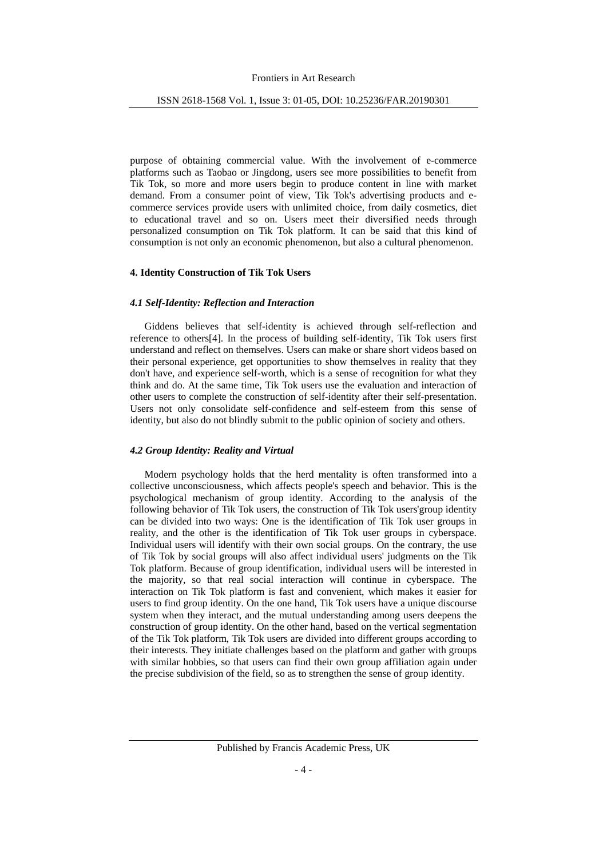purpose of obtaining commercial value. With the involvement of e-commerce platforms such as Taobao or Jingdong, users see more possibilities to benefit from Tik Tok, so more and more users begin to produce content in line with market demand. From a consumer point of view, Tik Tok's advertising products and ecommerce services provide users with unlimited choice, from daily cosmetics, diet to educational travel and so on. Users meet their diversified needs through personalized consumption on Tik Tok platform. It can be said that this kind of consumption is not only an economic phenomenon, but also a cultural phenomenon.

# **4. Identity Construction of Tik Tok Users**

#### *4.1 Self-Identity: Reflection and Interaction*

Giddens believes that self-identity is achieved through self-reflection and reference to others[4]. In the process of building self-identity, Tik Tok users first understand and reflect on themselves. Users can make or share short videos based on their personal experience, get opportunities to show themselves in reality that they don't have, and experience self-worth, which is a sense of recognition for what they think and do. At the same time, Tik Tok users use the evaluation and interaction of other users to complete the construction of self-identity after their self-presentation. Users not only consolidate self-confidence and self-esteem from this sense of identity, but also do not blindly submit to the public opinion of society and others.

## *4.2 Group Identity: Reality and Virtual*

Modern psychology holds that the herd mentality is often transformed into a collective unconsciousness, which affects people's speech and behavior. This is the psychological mechanism of group identity. According to the analysis of the following behavior of Tik Tok users, the construction of Tik Tok users'group identity can be divided into two ways: One is the identification of Tik Tok user groups in reality, and the other is the identification of Tik Tok user groups in cyberspace. Individual users will identify with their own social groups. On the contrary, the use of Tik Tok by social groups will also affect individual users' judgments on the Tik Tok platform. Because of group identification, individual users will be interested in the majority, so that real social interaction will continue in cyberspace. The interaction on Tik Tok platform is fast and convenient, which makes it easier for users to find group identity. On the one hand, Tik Tok users have a unique discourse system when they interact, and the mutual understanding among users deepens the construction of group identity. On the other hand, based on the vertical segmentation of the Tik Tok platform, Tik Tok users are divided into different groups according to their interests. They initiate challenges based on the platform and gather with groups with similar hobbies, so that users can find their own group affiliation again under the precise subdivision of the field, so as to strengthen the sense of group identity.